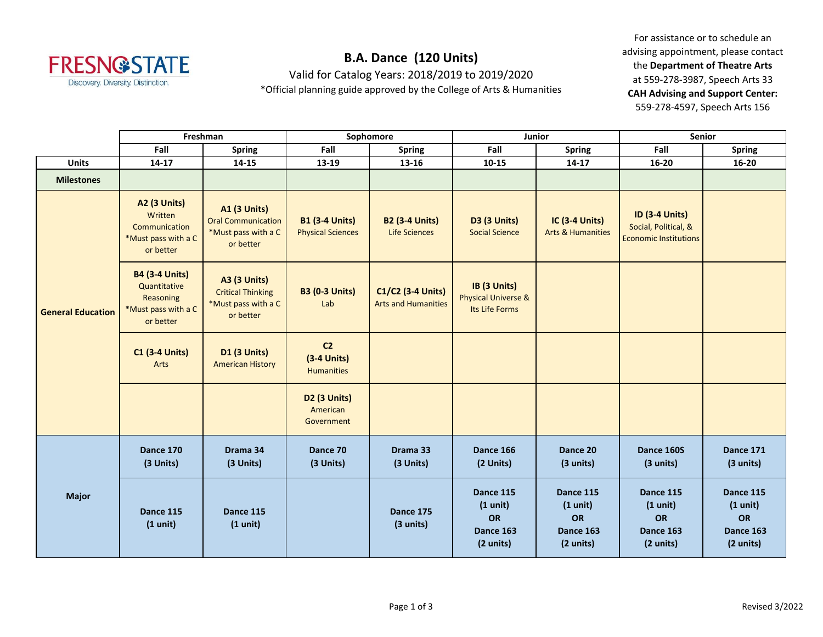

## **B.A. Dance (120 Units)**

Valid for Catalog Years: 2018/2019 to 2019/2020

\*Official planning guide approved by the College of Arts & Humanities

For assistance or to schedule an advising appointment, please contact the **Department of Theatre Arts** at 559-278-3987, Speech Arts 33 **CAH Advising and Support Center:**  559-278-4597, Speech Arts 156

|                          | Freshman                                                                               |                                                                                      | Sophomore                                            |                                                 | Junior                                                          |                                                                                  | <b>Senior</b>                                                                 |                                                                 |
|--------------------------|----------------------------------------------------------------------------------------|--------------------------------------------------------------------------------------|------------------------------------------------------|-------------------------------------------------|-----------------------------------------------------------------|----------------------------------------------------------------------------------|-------------------------------------------------------------------------------|-----------------------------------------------------------------|
|                          | Fall                                                                                   | <b>Spring</b>                                                                        | Fall                                                 | <b>Spring</b>                                   | Fall                                                            | <b>Spring</b>                                                                    | Fall                                                                          | <b>Spring</b>                                                   |
| <b>Units</b>             | 14-17                                                                                  | 14-15                                                                                | 13-19                                                | 13-16                                           | $10 - 15$                                                       | 14-17                                                                            | 16-20                                                                         | $16 - 20$                                                       |
| <b>Milestones</b>        |                                                                                        |                                                                                      |                                                      |                                                 |                                                                 |                                                                                  |                                                                               |                                                                 |
| <b>General Education</b> | <b>A2 (3 Units)</b><br>Written<br>Communication<br>*Must pass with a C<br>or better    | <b>A1 (3 Units)</b><br><b>Oral Communication</b><br>*Must pass with a C<br>or better | <b>B1 (3-4 Units)</b><br><b>Physical Sciences</b>    | <b>B2 (3-4 Units)</b><br>Life Sciences          | <b>D3 (3 Units)</b><br><b>Social Science</b>                    | <b>IC (3-4 Units)</b><br><b>Arts &amp; Humanities</b>                            | <b>ID (3-4 Units)</b><br>Social, Political, &<br><b>Economic Institutions</b> |                                                                 |
|                          | <b>B4 (3-4 Units)</b><br>Quantitative<br>Reasoning<br>*Must pass with a C<br>or better | <b>A3 (3 Units)</b><br><b>Critical Thinking</b><br>*Must pass with a C<br>or better  | <b>B3 (0-3 Units)</b><br>Lab                         | C1/C2 (3-4 Units)<br><b>Arts and Humanities</b> | IB (3 Units)<br>Physical Universe &<br>Its Life Forms           |                                                                                  |                                                                               |                                                                 |
|                          | <b>C1 (3-4 Units)</b><br>Arts                                                          | <b>D1 (3 Units)</b><br><b>American History</b>                                       | C <sub>2</sub><br>$(3-4$ Units)<br><b>Humanities</b> |                                                 |                                                                 |                                                                                  |                                                                               |                                                                 |
|                          |                                                                                        |                                                                                      | D2 (3 Units)<br>American<br>Government               |                                                 |                                                                 |                                                                                  |                                                                               |                                                                 |
| <b>Major</b>             | Dance 170<br>(3 Units)                                                                 | Drama 34<br>(3 Units)                                                                | Dance 70<br>(3 Units)                                | Drama 33<br>(3 Units)                           | Dance 166<br>(2 Units)                                          | Dance 20<br>(3 units)                                                            | Dance 160S<br>(3 units)                                                       | Dance 171<br>(3 units)                                          |
|                          | Dance 115<br>$(1 \text{ unit})$                                                        | Dance 115<br>$(1 \text{ unit})$                                                      |                                                      | Dance 175<br>(3 units)                          | Dance 115<br>$(1 \text{ unit})$<br>OR<br>Dance 163<br>(2 units) | Dance 115<br>$(1 \text{ unit})$<br><b>OR</b><br>Dance 163<br>$(2 \text{ units})$ | Dance 115<br>$(1 \text{ unit})$<br>OR<br>Dance 163<br>(2 units)               | Dance 115<br>$(1 \text{ unit})$<br>OR<br>Dance 163<br>(2 units) |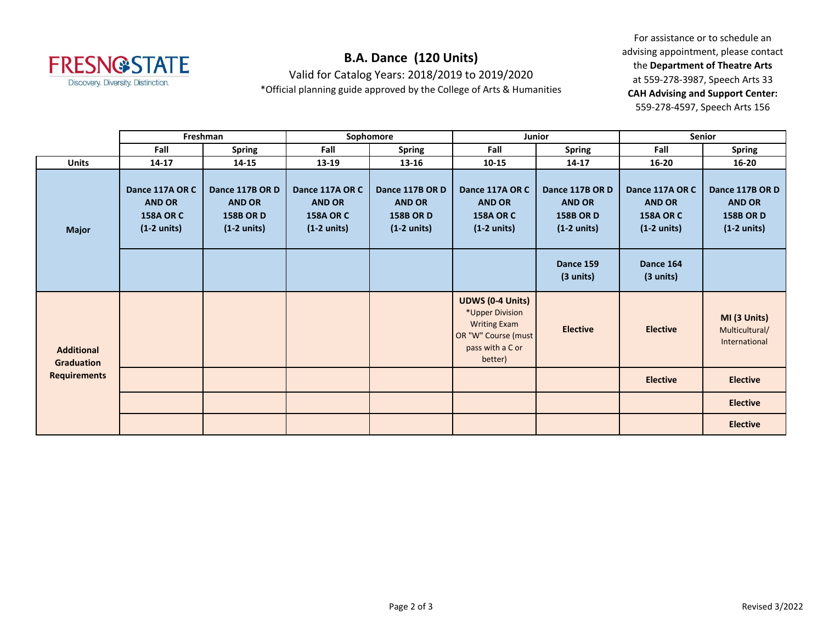

## **B.A. Dance (120 Units)**

Valid for Catalog Years: 2018/2019 to 2019/2020

\*Official planning guide approved by the College of Arts & Humanities

For assistance or to schedule an advising appointment, please contact the **Department of Theatre Arts** at 559-278-3987, Speech Arts 33 **CAH Advising and Support Center:**  559-278-4597, Speech Arts 156

|                                                        | Freshman                                                                      |                                                                               | Sophomore                                                                     |                                                                               | Junior                                                                                                                  |                                                                               | <b>Senior</b>                                                                 |                                                                               |
|--------------------------------------------------------|-------------------------------------------------------------------------------|-------------------------------------------------------------------------------|-------------------------------------------------------------------------------|-------------------------------------------------------------------------------|-------------------------------------------------------------------------------------------------------------------------|-------------------------------------------------------------------------------|-------------------------------------------------------------------------------|-------------------------------------------------------------------------------|
|                                                        | Fall                                                                          | <b>Spring</b>                                                                 | Fall                                                                          | <b>Spring</b>                                                                 | Fall                                                                                                                    | <b>Spring</b>                                                                 | Fall                                                                          | <b>Spring</b>                                                                 |
| <b>Units</b>                                           | $14 - 17$                                                                     | $14 - 15$                                                                     | 13-19                                                                         | 13-16                                                                         | $10 - 15$                                                                                                               | 14-17                                                                         | $16 - 20$                                                                     | $16 - 20$                                                                     |
| <b>Major</b>                                           | Dance 117A OR C<br><b>AND OR</b><br><b>158A OR C</b><br>$(1-2 \text{ units})$ | Dance 117B OR D<br><b>AND OR</b><br><b>158B OR D</b><br>$(1-2 \text{ units})$ | Dance 117A OR C<br><b>AND OR</b><br><b>158A OR C</b><br>$(1-2 \text{ units})$ | Dance 117B OR D<br><b>AND OR</b><br><b>158B OR D</b><br>$(1-2 \text{ units})$ | Dance 117A OR C<br><b>AND OR</b><br><b>158A OR C</b><br>$(1-2 \text{ units})$                                           | Dance 117B OR D<br><b>AND OR</b><br><b>158B OR D</b><br>$(1-2 \text{ units})$ | Dance 117A OR C<br><b>AND OR</b><br><b>158A OR C</b><br>$(1-2 \text{ units})$ | Dance 117B OR D<br><b>AND OR</b><br><b>158B OR D</b><br>$(1-2 \text{ units})$ |
|                                                        |                                                                               |                                                                               |                                                                               |                                                                               |                                                                                                                         | Dance 159<br>$(3 \text{ units})$                                              | Dance 164<br>(3 units)                                                        |                                                                               |
| <b>Additional</b><br>Graduation<br><b>Requirements</b> |                                                                               |                                                                               |                                                                               |                                                                               | <b>UDWS (0-4 Units)</b><br>*Upper Division<br><b>Writing Exam</b><br>OR "W" Course (must<br>pass with a C or<br>better) | <b>Elective</b>                                                               | <b>Elective</b>                                                               | MI (3 Units)<br>Multicultural/<br>International                               |
|                                                        |                                                                               |                                                                               |                                                                               |                                                                               |                                                                                                                         |                                                                               | <b>Elective</b>                                                               | <b>Elective</b>                                                               |
|                                                        |                                                                               |                                                                               |                                                                               |                                                                               |                                                                                                                         |                                                                               |                                                                               | <b>Elective</b>                                                               |
|                                                        |                                                                               |                                                                               |                                                                               |                                                                               |                                                                                                                         |                                                                               |                                                                               | <b>Elective</b>                                                               |